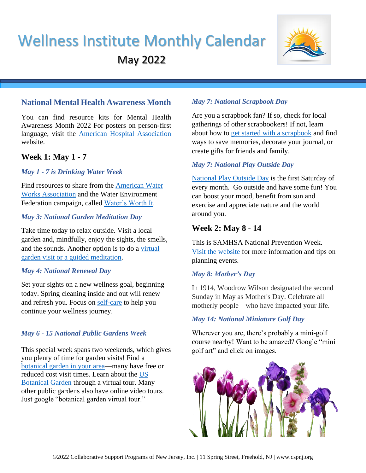# Wellness Institute Monthly Calendar May 2022



# **National Mental Health Awareness Month**

You can find resource kits for Mental Health Awareness Month 2022 For posters on person-first language, visit the [American Hospital Association](https://www.aha.org/people-matter-words-matter) website.

# **Week 1: May 1 - 7**

#### *May 1 - 7 is Drinking Water Week*

Find resources to share from the [American Water](https://www.awwa.org/Events-Education/Drinking-Water-Week/DWW-Materials)  [Works Association](https://www.awwa.org/Events-Education/Drinking-Water-Week/DWW-Materials) and the Water Environment Federation campaign, called [Water's Worth It.](https://watersworthit.org/resources/)

# *May 3: National Garden Meditation Day*

Take time today to relax outside. Visit a local garden and, mindfully, enjoy the sights, the smells, and the sounds. Another option is to do a [virtual](https://ngs.org.uk/garden-meditation-day/)  [garden visit or a guided meditation.](https://ngs.org.uk/garden-meditation-day/)

#### *May 4: National Renewal Day*

Set your sights on a new wellness goal, beginning today. Spring cleaning inside and out will renew and refresh you. Focus on [self-care](https://nationaltoday.com/national-renewal-day/#:~:text=National%20Renewal%20Day%20is%20an%20annual%20observance%20held,in%20the%20arm%20after%20the%20long%20winter%20days) to help you continue your wellness journey.

# *May 6 - 15 National Public Gardens Week*

This special week spans two weekends, which gives you plenty of time for garden visits! Find a [botanical garden in your area—](https://www.bgbm.org/IDB/botgard.html)many have free or reduced cost visit times. Learn about the [US](https://www.usbg.gov/take-virtual-tour)  [Botanical Garden](https://www.usbg.gov/take-virtual-tour) through a virtual tour. Many other public gardens also have online video tours. Just google "botanical garden virtual tour."

# *May 7: National Scrapbook Day*

Are you a scrapbook fan? If so, check for local gatherings of other scrapbookers! If not, learn about how to [get started with a scrapbook](https://www.craftsy.com/post/scrapbooking-ideas-for-beginners/) and find ways to save memories, decorate your journal, or create gifts for friends and family.

# *May 7: National Play Outside Day*

[National Play Outside Day](http://playoutsideday.org/) is the first Saturday of every month. Go outside and have some fun! You can boost your mood, benefit from sun and exercise and appreciate nature and the world around you.

# **Week 2: May 8 - 14**

This is SAMHSA National Prevention Week. [Visit the website](https://www.samhsa.gov/prevention-week/toolkit) for more information and tips on planning events.

# *May 8: Mother's Day*

In 1914, Woodrow Wilson designated the second Sunday in May as Mother's Day. Celebrate all motherly people—who have impacted your life.

# *May 14: National Miniature Golf Day*

Wherever you are, there's probably a mini-golf course nearby! Want to be amazed? Google "mini golf art" and click on images.